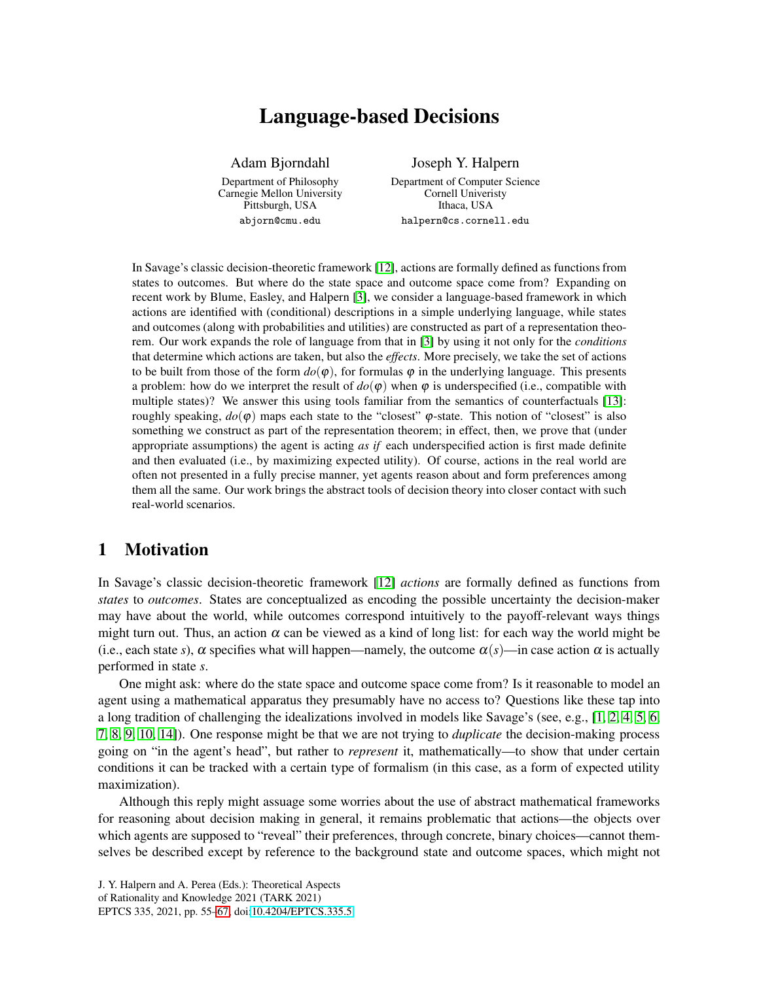# Language-based Decisions

Adam Bjorndahl Department of Philosophy Carnegie Mellon University Pittsburgh, USA abjorn@cmu.edu

Joseph Y. Halpern Department of Computer Science Cornell Univeristy Ithaca, USA halpern@cs.cornell.edu

In Savage's classic decision-theoretic framework [\[12\]](#page-12-1), actions are formally defined as functions from states to outcomes. But where do the state space and outcome space come from? Expanding on recent work by Blume, Easley, and Halpern [\[3\]](#page-11-0), we consider a language-based framework in which actions are identified with (conditional) descriptions in a simple underlying language, while states and outcomes (along with probabilities and utilities) are constructed as part of a representation theorem. Our work expands the role of language from that in [\[3\]](#page-11-0) by using it not only for the *conditions* that determine which actions are taken, but also the *effects*. More precisely, we take the set of actions to be built from those of the form  $d\rho(\varphi)$ , for formulas  $\varphi$  in the underlying language. This presents a problem: how do we interpret the result of  $d\rho(\varphi)$  when  $\varphi$  is underspecified (i.e., compatible with multiple states)? We answer this using tools familiar from the semantics of counterfactuals [\[13\]](#page-12-2): roughly speaking,  $dρ(φ)$  maps each state to the "closest"  $φ$ -state. This notion of "closest" is also something we construct as part of the representation theorem; in effect, then, we prove that (under appropriate assumptions) the agent is acting *as if* each underspecified action is first made definite and then evaluated (i.e., by maximizing expected utility). Of course, actions in the real world are often not presented in a fully precise manner, yet agents reason about and form preferences among them all the same. Our work brings the abstract tools of decision theory into closer contact with such real-world scenarios.

## 1 Motivation

In Savage's classic decision-theoretic framework [\[12\]](#page-12-1) *actions* are formally defined as functions from *states* to *outcomes*. States are conceptualized as encoding the possible uncertainty the decision-maker may have about the world, while outcomes correspond intuitively to the payoff-relevant ways things might turn out. Thus, an action  $\alpha$  can be viewed as a kind of long list: for each way the world might be (i.e., each state *s*),  $\alpha$  specifies what will happen—namely, the outcome  $\alpha(s)$ —in case action  $\alpha$  is actually performed in state *s*.

One might ask: where do the state space and outcome space come from? Is it reasonable to model an agent using a mathematical apparatus they presumably have no access to? Questions like these tap into a long tradition of challenging the idealizations involved in models like Savage's (see, e.g., [\[1,](#page-11-1) [2,](#page-11-2) [4,](#page-11-3) [5,](#page-11-4) [6,](#page-12-3) [7,](#page-12-4) [8,](#page-12-5) [9,](#page-12-6) [10,](#page-12-7) [14\]](#page-12-8)). One response might be that we are not trying to *duplicate* the decision-making process going on "in the agent's head", but rather to *represent* it, mathematically—to show that under certain conditions it can be tracked with a certain type of formalism (in this case, as a form of expected utility maximization).

Although this reply might assuage some worries about the use of abstract mathematical frameworks for reasoning about decision making in general, it remains problematic that actions—the objects over which agents are supposed to "reveal" their preferences, through concrete, binary choices—cannot themselves be described except by reference to the background state and outcome spaces, which might not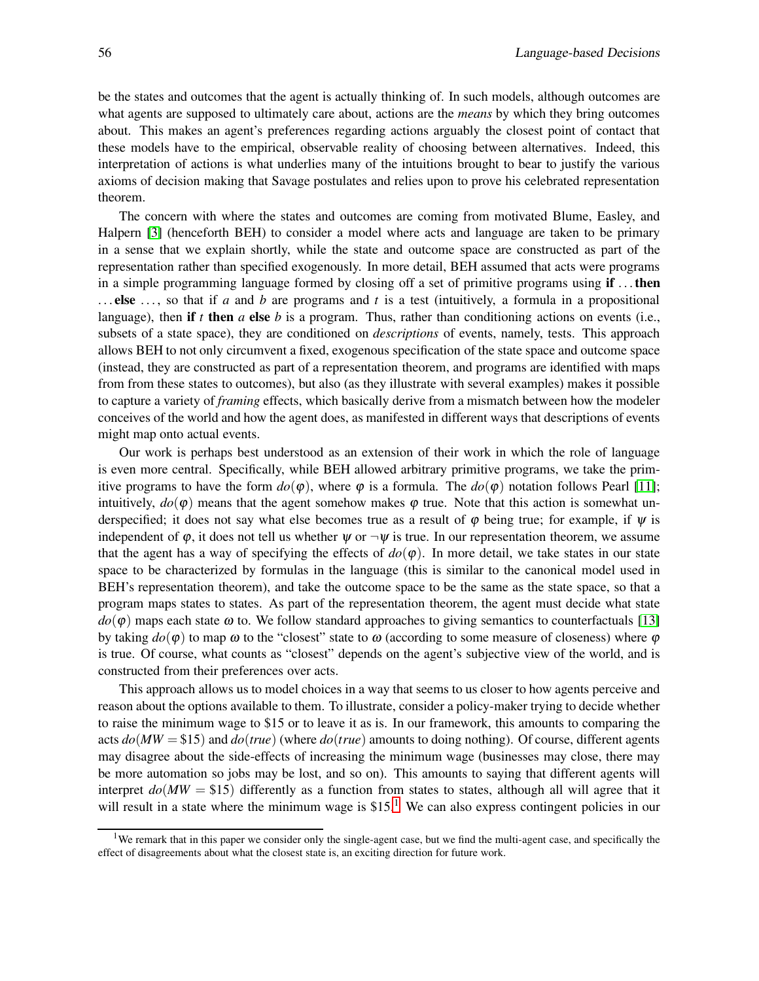be the states and outcomes that the agent is actually thinking of. In such models, although outcomes are what agents are supposed to ultimately care about, actions are the *means* by which they bring outcomes about. This makes an agent's preferences regarding actions arguably the closest point of contact that these models have to the empirical, observable reality of choosing between alternatives. Indeed, this interpretation of actions is what underlies many of the intuitions brought to bear to justify the various axioms of decision making that Savage postulates and relies upon to prove his celebrated representation theorem.

The concern with where the states and outcomes are coming from motivated Blume, Easley, and Halpern [\[3\]](#page-11-0) (henceforth BEH) to consider a model where acts and language are taken to be primary in a sense that we explain shortly, while the state and outcome space are constructed as part of the representation rather than specified exogenously. In more detail, BEH assumed that acts were programs in a simple programming language formed by closing off a set of primitive programs using if ... then . . . else . . . , so that if *a* and *b* are programs and *t* is a test (intuitively, a formula in a propositional language), then if *t* then *a* else *b* is a program. Thus, rather than conditioning actions on events (i.e., subsets of a state space), they are conditioned on *descriptions* of events, namely, tests. This approach allows BEH to not only circumvent a fixed, exogenous specification of the state space and outcome space (instead, they are constructed as part of a representation theorem, and programs are identified with maps from from these states to outcomes), but also (as they illustrate with several examples) makes it possible to capture a variety of *framing* effects, which basically derive from a mismatch between how the modeler conceives of the world and how the agent does, as manifested in different ways that descriptions of events might map onto actual events.

Our work is perhaps best understood as an extension of their work in which the role of language is even more central. Specifically, while BEH allowed arbitrary primitive programs, we take the primitive programs to have the form  $do(\varphi)$ , where  $\varphi$  is a formula. The  $do(\varphi)$  notation follows Pearl [\[11\]](#page-12-9); intuitively,  $do(\varphi)$  means that the agent somehow makes  $\varphi$  true. Note that this action is somewhat underspecified; it does not say what else becomes true as a result of  $\varphi$  being true; for example, if  $\psi$  is independent of  $\varphi$ , it does not tell us whether  $\psi$  or  $\neg \psi$  is true. In our representation theorem, we assume that the agent has a way of specifying the effects of  $d\rho(\varphi)$ . In more detail, we take states in our state space to be characterized by formulas in the language (this is similar to the canonical model used in BEH's representation theorem), and take the outcome space to be the same as the state space, so that a program maps states to states. As part of the representation theorem, the agent must decide what state  $d\rho(\varphi)$  maps each state  $\omega$  to. We follow standard approaches to giving semantics to counterfactuals [\[13\]](#page-12-2) by taking  $do(φ)$  to map  $ω$  to the "closest" state to  $ω$  (according to some measure of closeness) where  $φ$ is true. Of course, what counts as "closest" depends on the agent's subjective view of the world, and is constructed from their preferences over acts.

This approach allows us to model choices in a way that seems to us closer to how agents perceive and reason about the options available to them. To illustrate, consider a policy-maker trying to decide whether to raise the minimum wage to \$15 or to leave it as is. In our framework, this amounts to comparing the acts *do*(*MW* = \$15) and *do*(*true*) (where *do*(*true*) amounts to doing nothing). Of course, different agents may disagree about the side-effects of increasing the minimum wage (businesses may close, there may be more automation so jobs may be lost, and so on). This amounts to saying that different agents will interpret  $do(MW = $15)$  differently as a function from states to states, although all will agree that it will result in a state where the minimum wage is  $$15<sup>1</sup>$  $$15<sup>1</sup>$  $$15<sup>1</sup>$  We can also express contingent policies in our

<span id="page-1-0"></span><sup>&</sup>lt;sup>1</sup>We remark that in this paper we consider only the single-agent case, but we find the multi-agent case, and specifically the effect of disagreements about what the closest state is, an exciting direction for future work.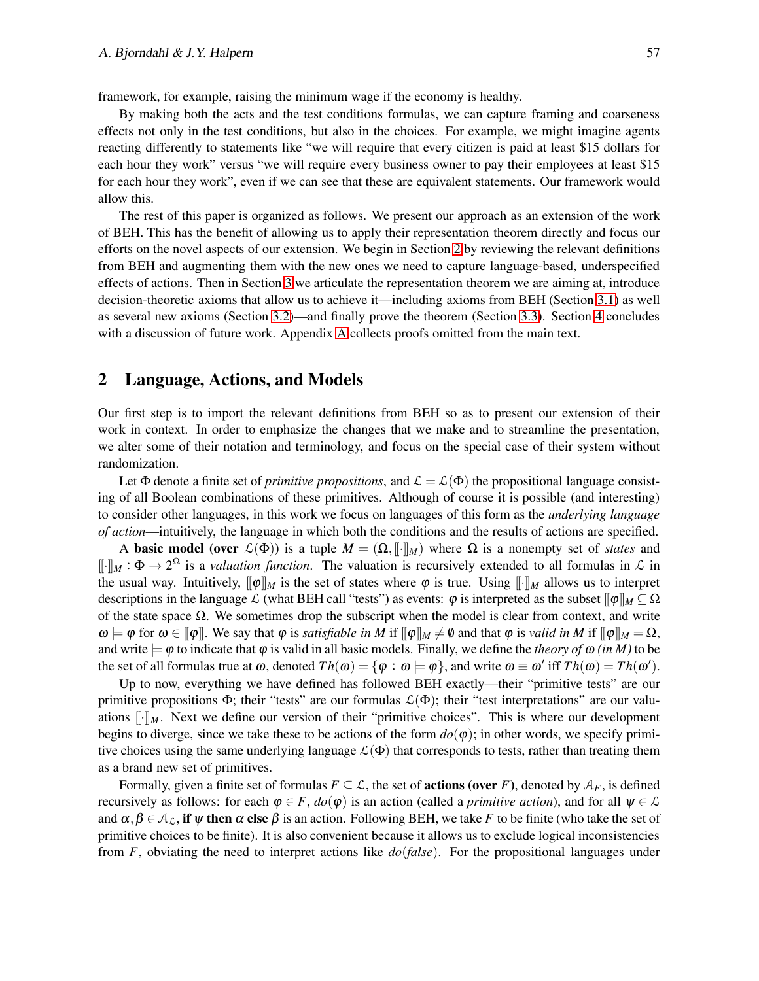framework, for example, raising the minimum wage if the economy is healthy.

By making both the acts and the test conditions formulas, we can capture framing and coarseness effects not only in the test conditions, but also in the choices. For example, we might imagine agents reacting differently to statements like "we will require that every citizen is paid at least \$15 dollars for each hour they work" versus "we will require every business owner to pay their employees at least \$15 for each hour they work", even if we can see that these are equivalent statements. Our framework would allow this.

The rest of this paper is organized as follows. We present our approach as an extension of the work of BEH. This has the benefit of allowing us to apply their representation theorem directly and focus our efforts on the novel aspects of our extension. We begin in Section [2](#page-2-0) by reviewing the relevant definitions from BEH and augmenting them with the new ones we need to capture language-based, underspecified effects of actions. Then in Section [3](#page-4-0) we articulate the representation theorem we are aiming at, introduce decision-theoretic axioms that allow us to achieve it—including axioms from BEH (Section [3.1\)](#page-4-1) as well as several new axioms (Section [3.2\)](#page-5-0)—and finally prove the theorem (Section [3.3\)](#page-7-0). Section [4](#page-9-0) concludes with a discussion of future work. Appendix [A](#page-10-0) collects proofs omitted from the main text.

## <span id="page-2-0"></span>2 Language, Actions, and Models

Our first step is to import the relevant definitions from BEH so as to present our extension of their work in context. In order to emphasize the changes that we make and to streamline the presentation, we alter some of their notation and terminology, and focus on the special case of their system without randomization.

Let  $\Phi$  denote a finite set of *primitive propositions*, and  $\mathcal{L} = \mathcal{L}(\Phi)$  the propositional language consisting of all Boolean combinations of these primitives. Although of course it is possible (and interesting) to consider other languages, in this work we focus on languages of this form as the *underlying language of action*—intuitively, the language in which both the conditions and the results of actions are specified.

A **basic model** (over  $\mathcal{L}(\Phi)$ ) is a tuple  $M = (\Omega, [\![\cdot]\!]_M)$  where  $\Omega$  is a nonempty set of *states* and  $[\![\cdot]\!]_M : \Phi \to 2^{\Omega}$  is a *valuation function*. The valuation is recursively extended to all formulas in  $\mathcal L$  in the usual way. Intuitively,  $[\![\varphi]\!]_M$  is the set of states where  $\varphi$  is true. Using  $[\![\cdot]\!]_M$  allows us to interpret descriptions in the language L (what BEH call "tests") as events:  $\varphi$  is interpreted as the subset  $[\![\varphi]\!]_M \subseteq \Omega$ of the state space  $Ω$ . We sometimes drop the subscript when the model is clear from context, and write  $\omega \models \varphi$  for  $\omega \in [\varphi]$ . We say that  $\varphi$  is *satisfiable in* M if  $[\varphi]_M \neq \varnothing$  and that  $\varphi$  is *valid in* M if  $[\varphi]_M = \Omega$ , and write  $\models \varphi$  to indicate that  $\varphi$  is valid in all basic models. Finally, we define the *theory of*  $\omega$  *(in M)* to be the set of all formulas true at  $\omega$ , denoted  $Th(\omega) = {\varphi : \omega \models \varphi}$ , and write  $\omega \equiv \omega'$  iff  $Th(\omega) = Th(\omega')$ .

Up to now, everything we have defined has followed BEH exactly—their "primitive tests" are our primitive propositions  $\Phi$ ; their "tests" are our formulas  $\mathcal{L}(\Phi)$ ; their "test interpretations" are our valuations  $\llbracket \cdot \rrbracket_M$ . Next we define our version of their "primitive choices". This is where our development begins to diverge, since we take these to be actions of the form  $do(\varphi)$ ; in other words, we specify primitive choices using the same underlying language  $\mathcal{L}(\Phi)$  that corresponds to tests, rather than treating them as a brand new set of primitives.

Formally, given a finite set of formulas  $F \subseteq \mathcal{L}$ , the set of **actions (over** *F*), denoted by  $\mathcal{A}_F$ , is defined recursively as follows: for each  $\varphi \in F$ ,  $do(\varphi)$  is an action (called a *primitive action*), and for all  $\psi \in \mathcal{L}$ and  $\alpha, \beta \in A_{\mathcal{L}}$ , if  $\psi$  then  $\alpha$  else  $\beta$  is an action. Following BEH, we take *F* to be finite (who take the set of primitive choices to be finite). It is also convenient because it allows us to exclude logical inconsistencies from *F*, obviating the need to interpret actions like *do*(*false*). For the propositional languages under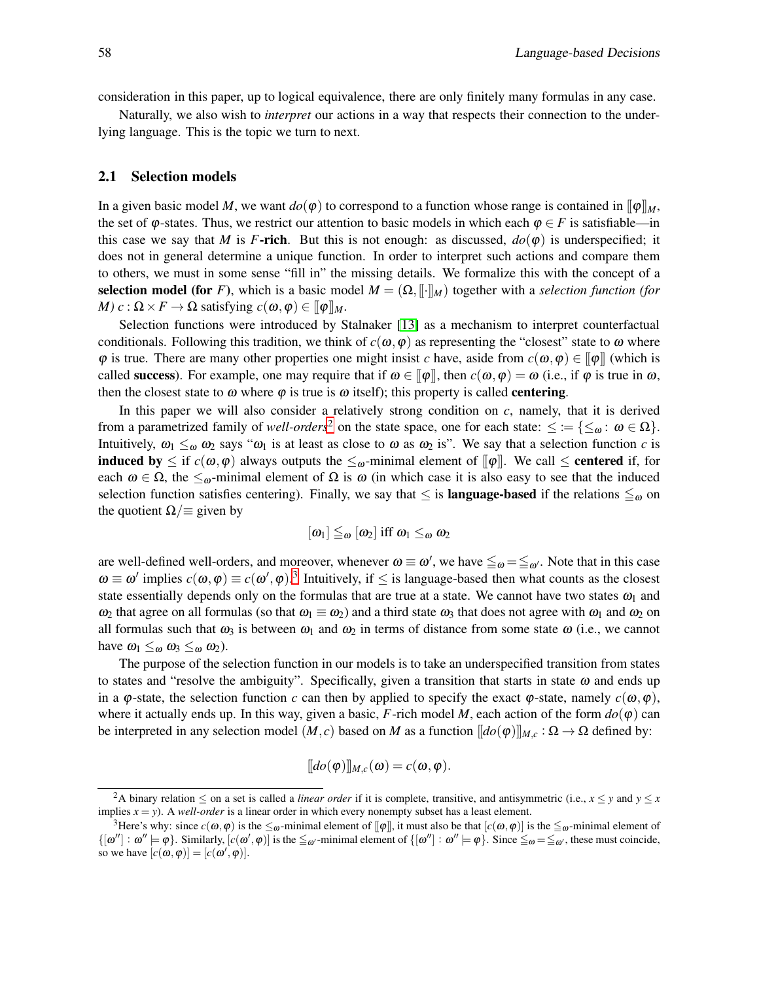consideration in this paper, up to logical equivalence, there are only finitely many formulas in any case.

Naturally, we also wish to *interpret* our actions in a way that respects their connection to the underlying language. This is the topic we turn to next.

## 2.1 Selection models

In a given basic model *M*, we want  $do(\varphi)$  to correspond to a function whose range is contained in  $[\varphi]_M$ , the set of  $\varphi$ -states. Thus, we restrict our attention to basic models in which each  $\varphi \in F$  is satisfiable—in this case we say that *M* is *F*-rich. But this is not enough: as discussed,  $do(\varphi)$  is underspecified; it does not in general determine a unique function. In order to interpret such actions and compare them to others, we must in some sense "fill in" the missing details. We formalize this with the concept of a selection model (for *F*), which is a basic model  $M = (\Omega, \lVert \cdot \rVert_M)$  together with a *selection function (for M*)  $c : \Omega \times F \to \Omega$  satisfying  $c(\omega, \varphi) \in [\varphi]]_M$ .

Selection functions were introduced by Stalnaker [\[13\]](#page-12-2) as a mechanism to interpret counterfactual conditionals. Following this tradition, we think of  $c(\omega, \varphi)$  as representing the "closest" state to  $\omega$  where  $\varphi$  is true. There are many other properties one might insist *c* have, aside from  $c(\omega, \varphi) \in ||\varphi||$  (which is called **success**). For example, one may require that if  $\omega \in [\![\varphi]\!]$ , then  $c(\omega, \varphi) = \omega$  (i.e., if  $\varphi$  is true in  $\omega$ , then the closest state to  $\omega$  where  $\varphi$  is true is  $\omega$  itself); this property is called **centering**.

In this paper we will also consider a relatively strong condition on *c*, namely, that it is derived from a parametrized family of *well-orders*<sup>[2](#page-3-0)</sup> on the state space, one for each state:  $\leq := \{ \leq_{\omega} : \omega \in \Omega \}$ . Intuitively,  $\omega_1 \leq_{\omega} \omega_2$  says " $\omega_1$  is at least as close to  $\omega$  as  $\omega_2$  is". We say that a selection function *c* is **induced by**  $\leq$  if  $c(\omega, \varphi)$  always outputs the  $\leq_{\omega}$ -minimal element of  $[\varphi]$ . We call  $\leq$  **centered** if, for each  $\omega \in \Omega$ , the  $\leq_{\omega}$ -minimal element of  $\Omega$  is  $\omega$  (in which case it is also easy to see that the induced selection function satisfies centering). Finally, we say that  $\leq$  is **language-based** if the relations  $\leq_{\omega}$  on the quotient  $\Omega/\equiv$  given by

$$
[\omega_1] \leq_{\omega} [\omega_2] \text{ iff } \omega_1 \leq_{\omega} \omega_2
$$

are well-defined well-orders, and moreover, whenever  $\omega \equiv \omega'$ , we have  $\leqq_{\omega} = \leqq_{\omega'}$ . Note that in this case  $\omega \equiv \omega'$  implies  $c(\omega, \varphi) \equiv c(\omega', \varphi)$ .<sup>[3](#page-3-1)</sup> Intuitively, if  $\leq$  is language-based then what counts as the closest state essentially depends only on the formulas that are true at a state. We cannot have two states  $\omega_1$  and  $ω_2$  that agree on all formulas (so that  $ω_1 \equiv ω_2$ ) and a third state  $ω_3$  that does not agree with  $ω_1$  and  $ω_2$  on all formulas such that  $\omega_3$  is between  $\omega_1$  and  $\omega_2$  in terms of distance from some state  $\omega$  (i.e., we cannot have  $\omega_1 \leq_{\omega} \omega_3 \leq_{\omega} \omega_2$ ).

The purpose of the selection function in our models is to take an underspecified transition from states to states and "resolve the ambiguity". Specifically, given a transition that starts in state  $\omega$  and ends up in a  $\varphi$ -state, the selection function *c* can then by applied to specify the exact  $\varphi$ -state, namely  $c(\omega, \varphi)$ , where it actually ends up. In this way, given a basic,  $F$ -rich model  $M$ , each action of the form  $do(\varphi)$  can be interpreted in any selection model  $(M, c)$  based on *M* as a function  $[\![do(\varphi)]\!]_{M, c} : \Omega \to \Omega$  defined by:

$$
[[do(\varphi)]]_{M,c}(\omega) = c(\omega, \varphi).
$$

<span id="page-3-0"></span><sup>&</sup>lt;sup>2</sup>A binary relation  $\leq$  on a set is called a *linear order* if it is complete, transitive, and antisymmetric (i.e.,  $x \leq y$  and  $y \leq x$ implies  $x = y$ ). A *well-order* is a linear order in which every nonempty subset has a least element.

<span id="page-3-1"></span><sup>&</sup>lt;sup>3</sup>Here's why: since  $c(\omega, \varphi)$  is the  $\leq_{\omega}$ -minimal element of  $[\varphi]$ , it must also be that  $[c(\omega, \varphi)]$  is the  $\leq_{\omega}$ -minimal element of  $\{[\omega''] : \omega'' \models \varphi\}$ . Similarly,  $[c(\omega', \varphi)]$  is the  $\leq_{\omega'}$ -minimal element of  $\{[\omega''] : \omega'' \models \varphi\}$ . Since  $\leq_{\omega} = \leq_{\omega'}$ , these must coincide, so we have  $[c(\omega, \varphi)] = [c(\omega', \varphi)].$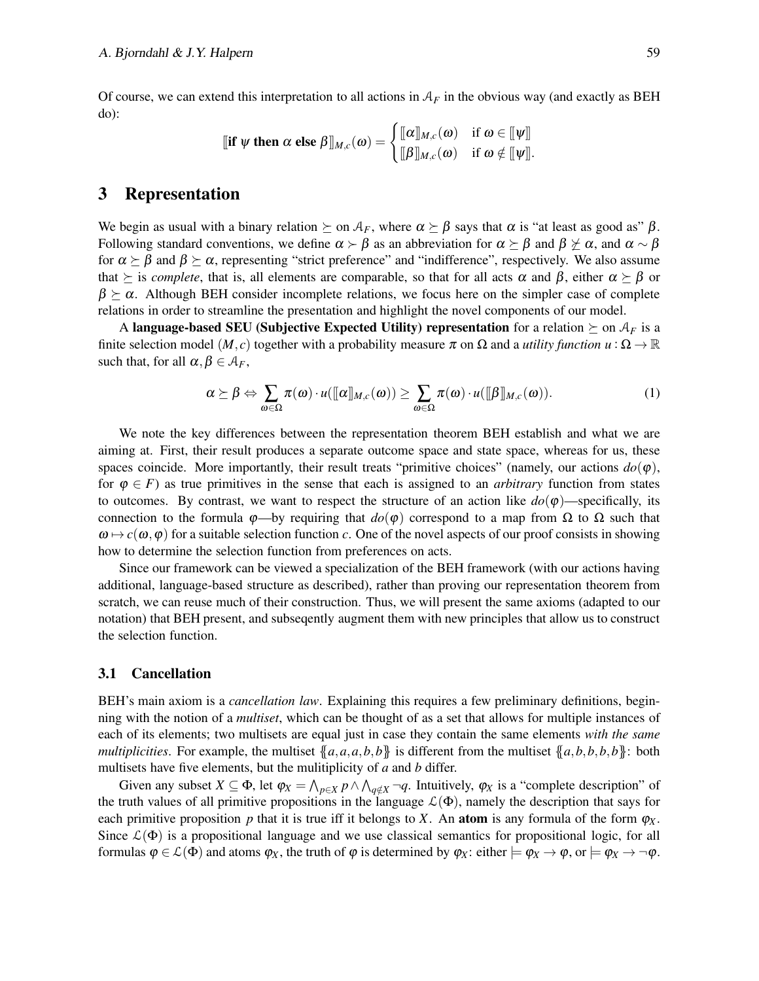Of course, we can extend this interpretation to all actions in  $A_F$  in the obvious way (and exactly as BEH do):

$$
\llbracket \textbf{if }\psi \textbf{ then } \alpha \textbf{ else } \beta \rrbracket_{M,c}(\omega) = \begin{cases} \llbracket \alpha \rrbracket_{M,c}(\omega) & \textbf{if } \omega \in \llbracket \psi \rrbracket \\ \llbracket \beta \rrbracket_{M,c}(\omega) & \textbf{if } \omega \notin \llbracket \psi \rrbracket. \end{cases}
$$

## <span id="page-4-0"></span>3 Representation

We begin as usual with a binary relation  $\succeq$  on  $\mathcal{A}_F$ , where  $\alpha \succeq \beta$  says that  $\alpha$  is "at least as good as"  $\beta$ . Following standard conventions, we define  $\alpha \succ \beta$  as an abbreviation for  $\alpha \succeq \beta$  and  $\beta \not\geq \alpha$ , and  $\alpha \sim \beta$ for  $\alpha \succ \beta$  and  $\beta \succ \alpha$ , representing "strict preference" and "indifference", respectively. We also assume that  $\succeq$  is *complete*, that is, all elements are comparable, so that for all acts  $\alpha$  and  $\beta$ , either  $\alpha \succeq \beta$  or  $\beta \succeq \alpha$ . Although BEH consider incomplete relations, we focus here on the simpler case of complete relations in order to streamline the presentation and highlight the novel components of our model.

A language-based SEU (Subjective Expected Utility) representation for a relation  $\succeq$  on  $A_F$  is a finite selection model  $(M, c)$  together with a probability measure  $\pi$  on  $\Omega$  and a *utility function*  $u : \Omega \to \mathbb{R}$ such that, for all  $\alpha, \beta \in \mathcal{A}_F$ ,

<span id="page-4-2"></span>
$$
\alpha \succeq \beta \Leftrightarrow \sum_{\omega \in \Omega} \pi(\omega) \cdot u([\![\alpha]\!]_{M,c}(\omega)) \ge \sum_{\omega \in \Omega} \pi(\omega) \cdot u([\![\beta]\!]_{M,c}(\omega)). \tag{1}
$$

We note the key differences between the representation theorem BEH establish and what we are aiming at. First, their result produces a separate outcome space and state space, whereas for us, these spaces coincide. More importantly, their result treats "primitive choices" (namely, our actions  $do(\varphi)$ , for  $\varphi \in F$ ) as true primitives in the sense that each is assigned to an *arbitrary* function from states to outcomes. By contrast, we want to respect the structure of an action like  $do(\varphi)$ —specifically, its connection to the formula  $φ$ —by requiring that  $do(φ)$  correspond to a map from Ω to Ω such that  $\omega \mapsto c(\omega, \varphi)$  for a suitable selection function *c*. One of the novel aspects of our proof consists in showing how to determine the selection function from preferences on acts.

Since our framework can be viewed a specialization of the BEH framework (with our actions having additional, language-based structure as described), rather than proving our representation theorem from scratch, we can reuse much of their construction. Thus, we will present the same axioms (adapted to our notation) that BEH present, and subseqently augment them with new principles that allow us to construct the selection function.

## <span id="page-4-1"></span>3.1 Cancellation

BEH's main axiom is a *cancellation law*. Explaining this requires a few preliminary definitions, beginning with the notion of a *multiset*, which can be thought of as a set that allows for multiple instances of each of its elements; two multisets are equal just in case they contain the same elements *with the same multiplicities*. For example, the multiset  ${a,a,a,b,b}$  is different from the multiset  ${a,b,b,b,b}$ : both multisets have five elements, but the mulitiplicity of *a* and *b* differ.

Given any subset  $X \subseteq \Phi$ , let  $\varphi_X = \bigwedge_{p \in X} p \wedge \bigwedge_{q \notin X} \neg q$ . Intuitively,  $\varphi_X$  is a "complete description" of the truth values of all primitive propositions in the language  $\mathcal{L}(\Phi)$ , namely the description that says for each primitive proposition *p* that it is true iff it belongs to *X*. An **atom** is any formula of the form  $\varphi_X$ . Since  $\mathcal{L}(\Phi)$  is a propositional language and we use classical semantics for propositional logic, for all formulas  $\varphi \in \mathcal{L}(\Phi)$  and atoms  $\varphi_X$ , the truth of  $\varphi$  is determined by  $\varphi_X$ : either  $\models \varphi_X \rightarrow \varphi$ , or  $\models \varphi_X \rightarrow \neg \varphi$ .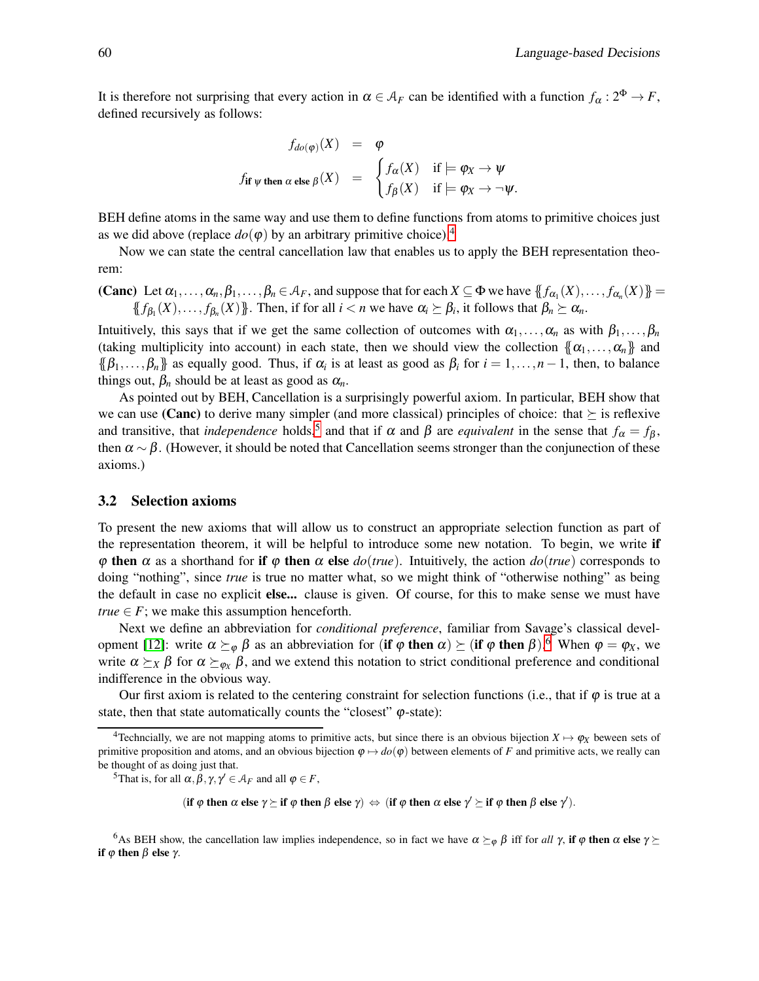It is therefore not surprising that every action in  $\alpha \in A_F$  can be identified with a function  $f_\alpha: 2^{\Phi} \to F$ , defined recursively as follows:

$$
f_{do(\varphi)}(X) = \varphi
$$
  
 
$$
f_{if \psi \text{ then } \alpha \text{ else } \beta}(X) = \begin{cases} f_{\alpha}(X) & \text{if } \models \varphi_X \to \psi \\ f_{\beta}(X) & \text{if } \models \varphi_X \to \neg \psi. \end{cases}
$$

BEH define atoms in the same way and use them to define functions from atoms to primitive choices just as we did above (replace  $do(\varphi)$  by an arbitrary primitive choice).<sup>[4](#page-5-1)</sup>

Now we can state the central cancellation law that enables us to apply the BEH representation theorem:

(Canc) Let  $\alpha_1, \ldots, \alpha_n, \beta_1, \ldots, \beta_n \in A_F$ , and suppose that for each  $X \subseteq \Phi$  we have  $\{f_{\alpha_1}(X), \ldots, f_{\alpha_n}(X)\}$  ${f}_{\beta_1}(X),\ldots,f_{\beta_n}(X)$ . Then, if for all  $i < n$  we have  $\alpha_i \succeq \beta_i$ , it follows that  $\beta_n \succeq \alpha_n$ .

Intuitively, this says that if we get the same collection of outcomes with  $\alpha_1,\ldots,\alpha_n$  as with  $\beta_1,\ldots,\beta_n$ (taking multiplicity into account) in each state, then we should view the collection  $\{\alpha_1,\ldots,\alpha_n\}$  and  $\{\beta_1,\ldots,\beta_n\}$  as equally good. Thus, if  $\alpha_i$  is at least as good as  $\beta_i$  for  $i=1,\ldots,n-1$ , then, to balance things out,  $\beta_n$  should be at least as good as  $\alpha_n$ .

As pointed out by BEH, Cancellation is a surprisingly powerful axiom. In particular, BEH show that we can use (Canc) to derive many simpler (and more classical) principles of choice: that  $\succeq$  is reflexive and transitive, that *independence* holds,<sup>[5](#page-5-2)</sup> and that if  $\alpha$  and  $\beta$  are *equivalent* in the sense that  $f_{\alpha} = f_{\beta}$ , then  $\alpha \sim \beta$ . (However, it should be noted that Cancellation seems stronger than the conjunection of these axioms.)

#### <span id="page-5-0"></span>3.2 Selection axioms

To present the new axioms that will allow us to construct an appropriate selection function as part of the representation theorem, it will be helpful to introduce some new notation. To begin, we write if  $\varphi$  then  $\alpha$  as a shorthand for if  $\varphi$  then  $\alpha$  else  $do(true)$ . Intuitively, the action  $do(true)$  corresponds to doing "nothing", since *true* is true no matter what, so we might think of "otherwise nothing" as being the default in case no explicit else... clause is given. Of course, for this to make sense we must have *true*  $\in$  *F*; we make this assumption henceforth.

Next we define an abbreviation for *conditional preference*, familiar from Savage's classical devel-opment [\[12\]](#page-12-1): write  $\alpha \succeq_{\varphi} \beta$  as an abbreviation for (if  $\varphi$  then  $\alpha$ )  $\succeq$  (if  $\varphi$  then  $\beta$ ).<sup>[6](#page-5-3)</sup> When  $\varphi = \varphi_X$ , we write  $\alpha \succeq_X \beta$  for  $\alpha \succeq_{\varphi_X} \beta$ , and we extend this notation to strict conditional preference and conditional indifference in the obvious way.

Our first axiom is related to the centering constraint for selection functions (i.e., that if  $\varphi$  is true at a state, then that state automatically counts the "closest"  $\varphi$ -state):

<span id="page-5-2"></span><sup>5</sup>That is, for all  $\alpha, \beta, \gamma, \gamma' \in \mathcal{A}_F$  and all  $\varphi \in F$ ,

(if  $\varphi$  then  $\alpha$  else  $\gamma \succeq$  if  $\varphi$  then  $\beta$  else  $\gamma) \Leftrightarrow$  (if  $\varphi$  then  $\alpha$  else  $\gamma' \succeq$  if  $\varphi$  then  $\beta$  else  $\gamma'$ ).

<span id="page-5-3"></span><sup>6</sup>As BEH show, the cancellation law implies independence, so in fact we have  $\alpha \succeq_{\varphi} \beta$  iff for *all*  $\gamma$ , if  $\varphi$  then  $\alpha$  else  $\gamma \succeq$ if  $φ$  then  $β$  else  $γ$ .

<span id="page-5-1"></span><sup>&</sup>lt;sup>4</sup>Techncially, we are not mapping atoms to primitive acts, but since there is an obvious bijection  $X \mapsto \varphi_X$  beween sets of primitive proposition and atoms, and an obvious bijection  $\varphi \mapsto do(\varphi)$  between elements of *F* and primitive acts, we really can be thought of as doing just that.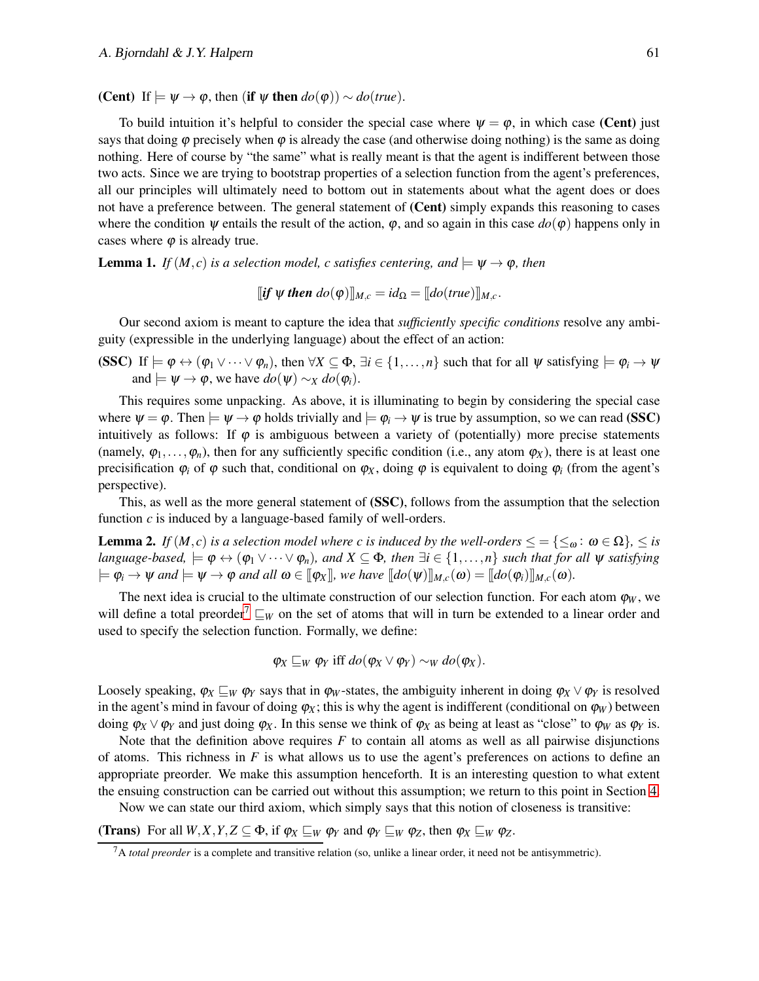(Cent) If  $\models \psi \rightarrow \varphi$ , then (if  $\psi$  then  $do(\varphi)$ ) ∼  $do(true)$ .

To build intuition it's helpful to consider the special case where  $\psi = \varphi$ , in which case (Cent) just says that doing  $\varphi$  precisely when  $\varphi$  is already the case (and otherwise doing nothing) is the same as doing nothing. Here of course by "the same" what is really meant is that the agent is indifferent between those two acts. Since we are trying to bootstrap properties of a selection function from the agent's preferences, all our principles will ultimately need to bottom out in statements about what the agent does or does not have a preference between. The general statement of (Cent) simply expands this reasoning to cases where the condition  $\psi$  entails the result of the action,  $\varphi$ , and so again in this case  $do(\varphi)$  happens only in cases where  $\varphi$  is already true.

<span id="page-6-1"></span>**Lemma 1.** *If*  $(M, c)$  *is a selection model, c satisfies centering, and*  $\models \Psi \rightarrow \varphi$ *, then* 

$$
[if \psi then do(\varphi)]_{M,c} = id_{\Omega} = [do(true)]_{M,c}.
$$

Our second axiom is meant to capture the idea that *sufficiently specific conditions* resolve any ambiguity (expressible in the underlying language) about the effect of an action:

(SSC) If  $\models \varphi \leftrightarrow (\varphi_1 \vee \cdots \vee \varphi_n)$ , then  $\forall X \subseteq \Phi$ ,  $\exists i \in \{1, \ldots, n\}$  such that for all  $\psi$  satisfying  $\models \varphi_i \rightarrow \psi$ and  $\models \psi \rightarrow \varphi$ , we have  $do(\psi) \sim_X do(\varphi_i)$ .

This requires some unpacking. As above, it is illuminating to begin by considering the special case where  $\psi = \varphi$ . Then  $\models \psi \rightarrow \varphi$  holds trivially and  $\models \varphi_i \rightarrow \psi$  is true by assumption, so we can read (SSC) intuitively as follows: If  $\varphi$  is ambiguous between a variety of (potentially) more precise statements (namely,  $\varphi_1, \ldots, \varphi_n$ ), then for any sufficiently specific condition (i.e., any atom  $\varphi_X$ ), there is at least one precisification  $\varphi_i$  of  $\varphi$  such that, conditional on  $\varphi_X$ , doing  $\varphi$  is equivalent to doing  $\varphi_i$  (from the agent's perspective).

This, as well as the more general statement of (SSC), follows from the assumption that the selection function *c* is induced by a language-based family of well-orders.

<span id="page-6-2"></span>**Lemma 2.** *If*  $(M, c)$  *is a selection model where c is induced by the well-orders*  $\leq = \{\leq_{\omega} : \omega \in \Omega\}$ *,*  $\leq$  *is language-based,*  $\models \varphi \leftrightarrow (\varphi_1 \vee \cdots \vee \varphi_n)$ *, and*  $X \subseteq \Phi$ *, then*  $\exists i \in \{1, ..., n\}$  *such that for all*  $\psi$  *satisfying*  $\mathbf{p} = \mathbf{p}_i \rightarrow \mathbf{w}$  and  $\mathbf{p} = \mathbf{w} \rightarrow \mathbf{w}$  and all  $\mathbf{w} \in [\![\mathbf{\phi}_X]\!]$ *, we have*  $[\![d\mathbf{o}(\mathbf{w})]\!]_{M,c}(\mathbf{w}) = [\![d\mathbf{o}(\mathbf{\phi}_i)]\!]_{M,c}(\mathbf{w})$ .

The next idea is crucial to the ultimate construction of our selection function. For each atom  $\varphi_W$ , we will define a total preorder<sup>[7](#page-6-0)</sup>  $\sqsubseteq_W$  on the set of atoms that will in turn be extended to a linear order and used to specify the selection function. Formally, we define:

$$
\varphi_X \sqsubseteq_W \varphi_Y
$$
 iff  $do(\varphi_X \vee \varphi_Y) \sim_W do(\varphi_X)$ .

Loosely speaking,  $\varphi_X \subseteq_W \varphi_Y$  says that in  $\varphi_W$ -states, the ambiguity inherent in doing  $\varphi_X \vee \varphi_Y$  is resolved in the agent's mind in favour of doing  $\varphi_X$ ; this is why the agent is indifferent (conditional on  $\varphi_W$ ) between doing  $\varphi_X \vee \varphi_Y$  and just doing  $\varphi_X$ . In this sense we think of  $\varphi_X$  as being at least as "close" to  $\varphi_W$  as  $\varphi_Y$  is.

Note that the definition above requires *F* to contain all atoms as well as all pairwise disjunctions of atoms. This richness in *F* is what allows us to use the agent's preferences on actions to define an appropriate preorder. We make this assumption henceforth. It is an interesting question to what extent the ensuing construction can be carried out without this assumption; we return to this point in Section [4.](#page-9-0)

Now we can state our third axiom, which simply says that this notion of closeness is transitive:

(Trans) For all  $W, X, Y, Z \subseteq \Phi$ , if  $\varphi_X \sqsubseteq_W \varphi_Y$  and  $\varphi_Y \sqsubseteq_W \varphi_Z$ , then  $\varphi_X \sqsubseteq_W \varphi_Z$ .

<span id="page-6-0"></span><sup>7</sup>A *total preorder* is a complete and transitive relation (so, unlike a linear order, it need not be antisymmetric).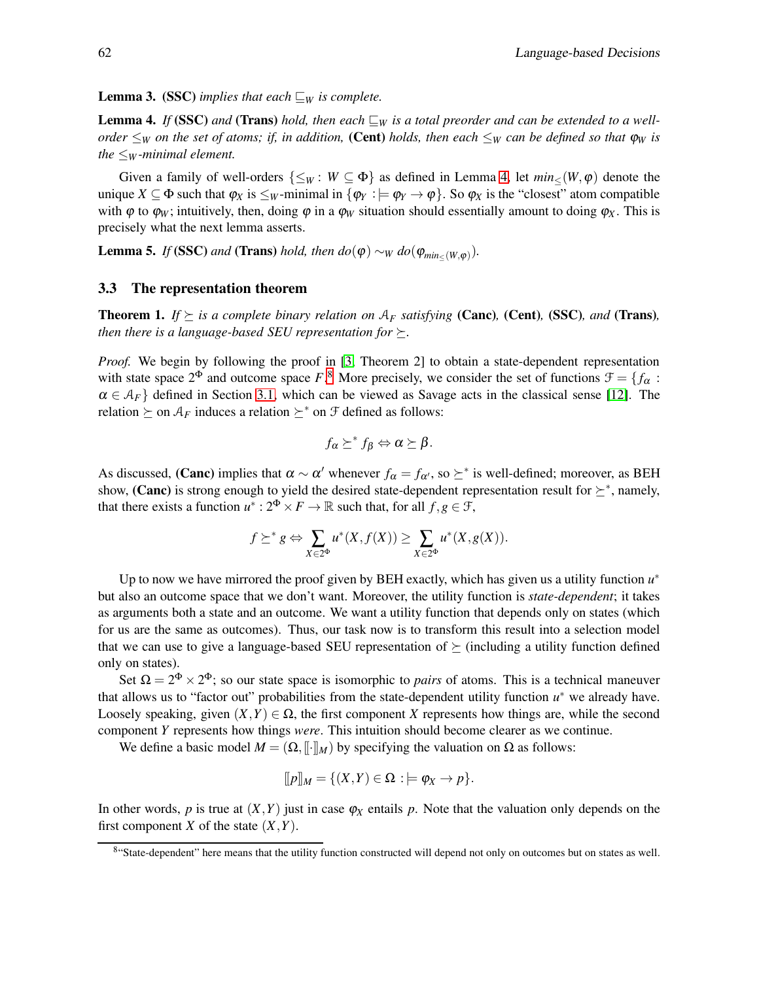<span id="page-7-3"></span>**Lemma 3.** (SSC) *implies that each*  $\sqsubseteq_W$  *is complete.* 

<span id="page-7-1"></span>**Lemma 4.** *If* (SSC) and (Trans) *hold, then each*  $\sqsubseteq_W$  *is a total preorder and can be extended to a wellorder*  $\leq_W$  *on the set of atoms; if, in addition,* (Cent) *holds, then each*  $\leq_W$  *can be defined so that*  $\varphi_W$  *is the*  $\leq_W$ *-minimal element.* 

Given a family of well-orders  $\{\leq_W : W \subseteq \Phi\}$  as defined in Lemma [4,](#page-7-1) let  $min_{\leq}(W, \varphi)$  denote the unique  $X \subseteq \Phi$  such that  $\varphi_X$  is  $\leq_W$ -minimal in  $\{\varphi_Y : \models \varphi_Y \to \varphi\}$ . So  $\varphi_X$  is the "closest" atom compatible with  $\varphi$  to  $\varphi_W$ ; intuitively, then, doing  $\varphi$  in a  $\varphi_W$  situation should essentially amount to doing  $\varphi_X$ . This is precisely what the next lemma asserts.

<span id="page-7-4"></span>**Lemma 5.** *If* (SSC) *and* (Trans) *hold, then*  $do(\varphi) \sim_W do(\varphi_{min_{\leq}(W,\varphi)})$ .

#### <span id="page-7-0"></span>3.3 The representation theorem

**Theorem 1.** *If*  $\succeq$  *is a complete binary relation on*  $A_F$  *satisfying* (**Canc**), **(Cent**), **(SSC**)*, and* **(Trans**)*, then there is a language-based SEU representation for*  $\succeq$ .

*Proof.* We begin by following the proof in [\[3,](#page-11-0) Theorem 2] to obtain a state-dependent representation with state space  $2^{\Phi}$  and outcome space *F*.<sup>[8](#page-7-2)</sup> More precisely, we consider the set of functions  $\mathcal{F} = \{f_{\alpha} :$  $\alpha \in A_F$  defined in Section [3.1,](#page-4-1) which can be viewed as Savage acts in the classical sense [\[12\]](#page-12-1). The relation  $\succeq$  on  $A_F$  induces a relation  $\succeq^*$  on  $\mathcal F$  defined as follows:

$$
f_{\alpha} \succeq^* f_{\beta} \Leftrightarrow \alpha \succeq \beta.
$$

As discussed, (**Canc**) implies that  $\alpha \sim \alpha'$  whenever  $f_{\alpha} = f_{\alpha'}$ , so  $\succeq^*$  is well-defined; moreover, as BEH show, (Canc) is strong enough to yield the desired state-dependent representation result for  $\succeq^*$ , namely, that there exists a function  $u^*: 2^{\Phi} \times F \to \mathbb{R}$  such that, for all  $f, g \in \mathcal{F}$ ,

$$
f \succeq^* g \Leftrightarrow \sum_{X \in 2^{\Phi}} u^*(X, f(X)) \ge \sum_{X \in 2^{\Phi}} u^*(X, g(X)).
$$

Up to now we have mirrored the proof given by BEH exactly, which has given us a utility function  $u^*$ but also an outcome space that we don't want. Moreover, the utility function is *state-dependent*; it takes as arguments both a state and an outcome. We want a utility function that depends only on states (which for us are the same as outcomes). Thus, our task now is to transform this result into a selection model that we can use to give a language-based SEU representation of  $\succeq$  (including a utility function defined only on states).

Set  $\Omega = 2^{\Phi} \times 2^{\Phi}$ ; so our state space is isomorphic to *pairs* of atoms. This is a technical maneuver that allows us to "factor out" probabilities from the state-dependent utility function  $u^*$  we already have. Loosely speaking, given  $(X, Y) \in \Omega$ , the first component *X* represents how things are, while the second component *Y* represents how things *were*. This intuition should become clearer as we continue.

We define a basic model  $M = (\Omega, \|\cdot\|_M)$  by specifying the valuation on  $\Omega$  as follows:

$$
[[p]]M = \{(X,Y) \in \Omega : \models \varphi_X \to p\}.
$$

In other words,  $p$  is true at  $(X, Y)$  just in case  $\varphi_X$  entails  $p$ . Note that the valuation only depends on the first component *X* of the state  $(X, Y)$ .

<span id="page-7-2"></span><sup>8&</sup>quot;State-dependent" here means that the utility function constructed will depend not only on outcomes but on states as well.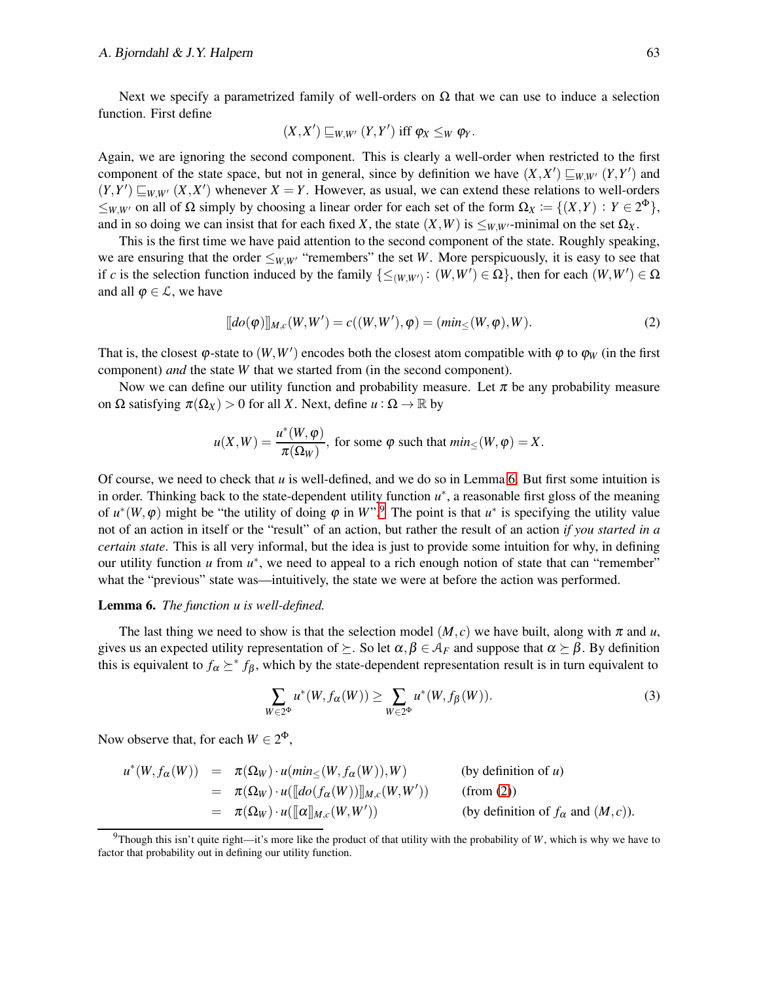#### A. Bjorndahl  $\&$  J.Y. Halpern 63

Next we specify a parametrized family of well-orders on  $\Omega$  that we can use to induce a selection function. First define

$$
(X,X') \sqsubseteq_{W,W'} (Y,Y')
$$
 iff  $\varphi_X \leq_W \varphi_Y$ .

Again, we are ignoring the second component. This is clearly a well-order when restricted to the first component of the state space, but not in general, since by definition we have  $(X, X') \sqsubseteq_{W,W'} (Y, Y')$  and  $(Y, Y') \sqsubseteq_{W, W'} (X, X')$  whenever  $X = Y$ . However, as usual, we can extend these relations to well-orders  $\leq_{W,W'}$  on all of  $\Omega$  simply by choosing a linear order for each set of the form  $\Omega_X := \{(X,Y) : Y \in 2^{\Phi}\},$ and in so doing we can insist that for each fixed *X*, the state  $(X, W)$  is  $\leq_{W,W'}$ -minimal on the set  $\Omega_X$ .

This is the first time we have paid attention to the second component of the state. Roughly speaking, we are ensuring that the order  $\leq_{W,W'}$  "remembers" the set *W*. More perspicuously, it is easy to see that if *c* is the selection function induced by the family  $\{\leq_{(W,W')}:(W,W')\in\Omega\}$ , then for each  $(W,W')\in\Omega$ and all  $\varphi \in \mathcal{L}$ , we have

<span id="page-8-2"></span>
$$
[[do(\varphi)]]_{M,c}(W,W') = c((W,W'),\varphi) = (min_{\leq}(W,\varphi),W).
$$
\n(2)

That is, the closest  $\varphi$ -state to  $(W, W')$  encodes both the closest atom compatible with  $\varphi$  to  $\varphi_W$  (in the first component) *and* the state *W* that we started from (in the second component).

Now we can define our utility function and probability measure. Let  $\pi$  be any probability measure on  $\Omega$  satisfying  $\pi(\Omega_X) > 0$  for all *X*. Next, define  $u : \Omega \to \mathbb{R}$  by

$$
u(X, W) = \frac{u^*(W, \varphi)}{\pi(\Omega_W)},
$$
 for some  $\varphi$  such that  $min_{\leq}(W, \varphi) = X$ .

Of course, we need to check that *u* is well-defined, and we do so in Lemma [6.](#page-8-0) But first some intuition is in order. Thinking back to the state-dependent utility function  $u^*$ , a reasonable first gloss of the meaning of  $u^*(W, \varphi)$  might be "the utility of doing  $\varphi$  in  $W^{*,9}$  $W^{*,9}$  $W^{*,9}$  The point is that  $u^*$  is specifying the utility value not of an action in itself or the "result" of an action, but rather the result of an action *if you started in a certain state*. This is all very informal, but the idea is just to provide some intuition for why, in defining our utility function *u* from  $u^*$ , we need to appeal to a rich enough notion of state that can "remember" what the "previous" state was—intuitively, the state we were at before the action was performed.

#### <span id="page-8-0"></span>Lemma 6. *The function u is well-defined.*

The last thing we need to show is that the selection model  $(M, c)$  we have built, along with  $\pi$  and  $u$ , gives us an expected utility representation of  $\succeq$ . So let  $\alpha, \beta \in A_F$  and suppose that  $\alpha \succeq \beta$ . By definition this is equivalent to  $f_\alpha \geq f_\beta$ , which by the state-dependent representation result is in turn equivalent to

<span id="page-8-3"></span>
$$
\sum_{W \in 2^{\Phi}} u^*(W, f_\alpha(W)) \ge \sum_{W \in 2^{\Phi}} u^*(W, f_\beta(W)). \tag{3}
$$

Now observe that, for each  $W \in 2^{\Phi}$ ,

$$
u^*(W, f_\alpha(W)) = \pi(\Omega_W) \cdot u(\min_{\leq} (W, f_\alpha(W)), W)
$$
 (by definition of *u*)  
\n
$$
= \pi(\Omega_W) \cdot u(\llbracket d\rho(f_\alpha(W)) \rrbracket_{M,c}(W, W'))
$$
 (from (2))  
\n
$$
= \pi(\Omega_W) \cdot u(\llbracket \alpha \rrbracket_{M,c}(W, W'))
$$
 (by definition of  $f_\alpha$  and  $(M, c)$ ).

<span id="page-8-1"></span><sup>&</sup>lt;sup>9</sup>Though this isn't quite right—it's more like the product of that utility with the probability of *W*, which is why we have to factor that probability out in defining our utility function.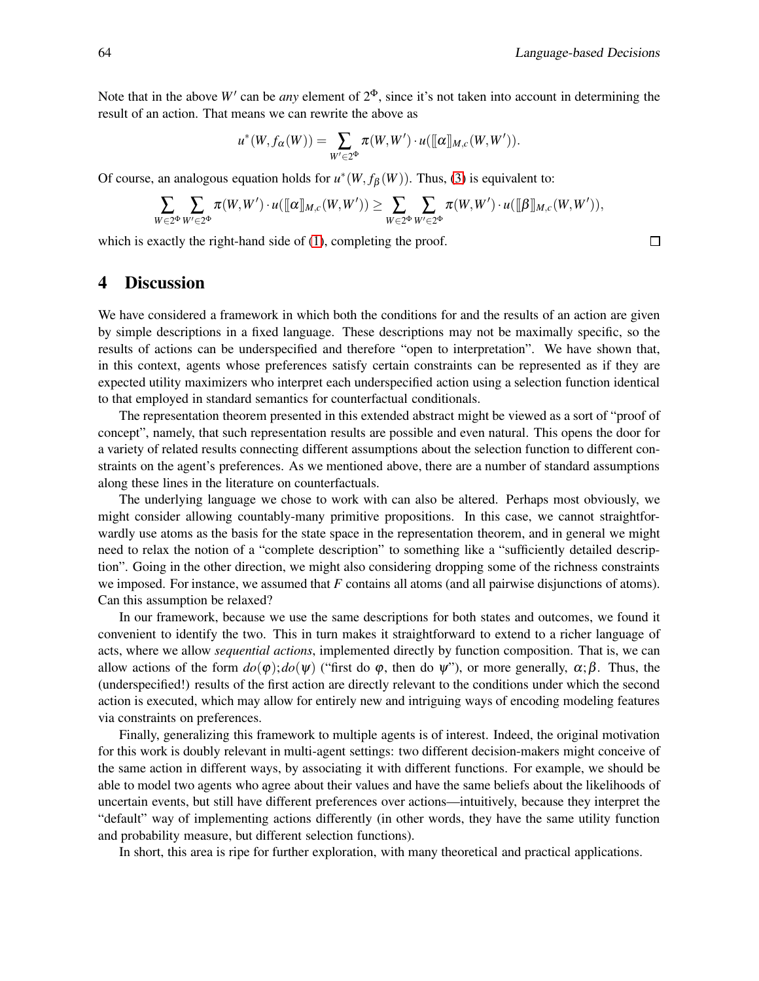$\Box$ 

Note that in the above  $W'$  can be *any* element of  $2^{\Phi}$ , since it's not taken into account in determining the result of an action. That means we can rewrite the above as

$$
u^*(W, f_\alpha(W)) = \sum_{W' \in 2^\Phi} \pi(W, W') \cdot u([\![\alpha]\!]_{M, c}(W, W')).
$$

Of course, an analogous equation holds for  $u^*(W, f_\beta(W))$ . Thus, [\(3\)](#page-8-3) is equivalent to:

$$
\sum_{W\in 2^\Phi}\sum_{W'\in 2^\Phi}\pi(W,W')\cdot u(\llbracket\alpha\rrbracket_{M,c}(W,W'))\geq \sum_{W\in 2^\Phi}\sum_{W'\in 2^\Phi}\pi(W,W')\cdot u(\llbracket\beta\rrbracket_{M,c}(W,W')),
$$

<span id="page-9-0"></span>which is exactly the right-hand side of  $(1)$ , completing the proof.

## 4 Discussion

We have considered a framework in which both the conditions for and the results of an action are given by simple descriptions in a fixed language. These descriptions may not be maximally specific, so the results of actions can be underspecified and therefore "open to interpretation". We have shown that, in this context, agents whose preferences satisfy certain constraints can be represented as if they are expected utility maximizers who interpret each underspecified action using a selection function identical to that employed in standard semantics for counterfactual conditionals.

The representation theorem presented in this extended abstract might be viewed as a sort of "proof of concept", namely, that such representation results are possible and even natural. This opens the door for a variety of related results connecting different assumptions about the selection function to different constraints on the agent's preferences. As we mentioned above, there are a number of standard assumptions along these lines in the literature on counterfactuals.

The underlying language we chose to work with can also be altered. Perhaps most obviously, we might consider allowing countably-many primitive propositions. In this case, we cannot straightforwardly use atoms as the basis for the state space in the representation theorem, and in general we might need to relax the notion of a "complete description" to something like a "sufficiently detailed description". Going in the other direction, we might also considering dropping some of the richness constraints we imposed. For instance, we assumed that *F* contains all atoms (and all pairwise disjunctions of atoms). Can this assumption be relaxed?

In our framework, because we use the same descriptions for both states and outcomes, we found it convenient to identify the two. This in turn makes it straightforward to extend to a richer language of acts, where we allow *sequential actions*, implemented directly by function composition. That is, we can allow actions of the form  $d\rho(\varphi)$ ;  $d\rho(\psi)$  ("first do  $\varphi$ , then do  $\psi$ "), or more generally,  $\alpha$ ;  $\beta$ . Thus, the (underspecified!) results of the first action are directly relevant to the conditions under which the second action is executed, which may allow for entirely new and intriguing ways of encoding modeling features via constraints on preferences.

Finally, generalizing this framework to multiple agents is of interest. Indeed, the original motivation for this work is doubly relevant in multi-agent settings: two different decision-makers might conceive of the same action in different ways, by associating it with different functions. For example, we should be able to model two agents who agree about their values and have the same beliefs about the likelihoods of uncertain events, but still have different preferences over actions—intuitively, because they interpret the "default" way of implementing actions differently (in other words, they have the same utility function and probability measure, but different selection functions).

In short, this area is ripe for further exploration, with many theoretical and practical applications.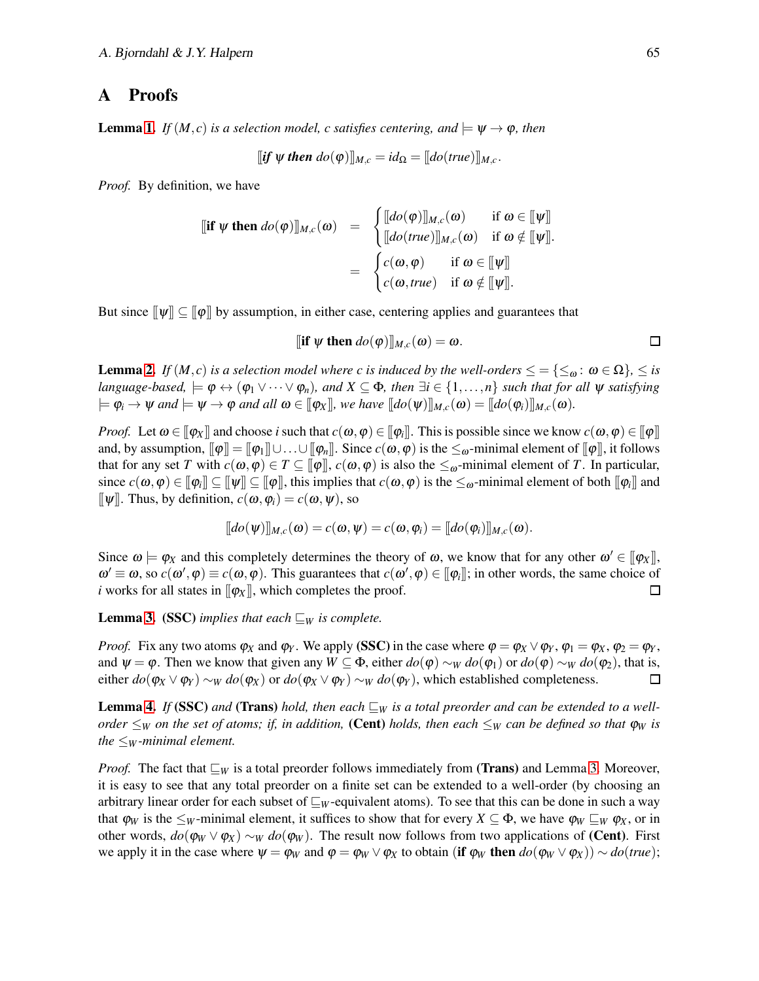## <span id="page-10-0"></span>A Proofs

**Lemma [1.](#page-6-1)** *If*  $(M, c)$  *is a selection model, c satisfies centering, and*  $\models \Psi \rightarrow \varphi$ *, then* 

$$
[if \psi then do(\varphi)]_{M,c} = id_{\Omega} = [do(true)]_{M,c}.
$$

*Proof.* By definition, we have

$$
\begin{array}{rcl}\n\left[\begin{matrix} \text{if } \psi \text{ then } \text{do}(\varphi) \right]_{M,c}(\omega) & = & \begin{cases} \n\left[\begin{matrix} \text{do}(\varphi) \right]_{M,c}(\omega) & \text{if } \omega \in \left[\hspace{0.2em}\big| \psi \right] \n\end{matrix} \right] \\
\left[\begin{matrix} \text{do}(\text{true}) \right]_{M,c}(\omega) & \text{if } \omega \notin \left[\hspace{0.2em}\big| \psi \right] \n\end{matrix} \right] \\
& = & \begin{cases} \nc(\omega, \varphi) & \text{if } \omega \in \left[\hspace{0.2em}\big| \psi \right] \n\end{cases} \\
\text{cf}(\omega, \text{true}) & \text{if } \omega \notin \left[\hspace{0.2em}\big| \psi \right].\n\end{cases}\n\end{array}
$$

But since  $[\![\psi]\!] \subseteq [\![\varphi]\!]$  by assumption, in either case, centering applies and guarantees that

$$
\llbracket \textbf{if } \psi \textbf{ then } do(\phi) \rrbracket_{M,c}(\omega) = \omega. \qquad \qquad \Box
$$

**Lemma [2.](#page-6-2)** *If*  $(M, c)$  *is a selection model where c is induced by the well-orders*  $\leq = \{\leq_{\omega} : \omega \in \Omega\}$ ,  $\leq$  *is language-based,*  $\models \varphi \leftrightarrow (\varphi_1 \vee \cdots \vee \varphi_n)$ *, and*  $X \subseteq \Phi$ *, then*  $\exists i \in \{1, ..., n\}$  *such that for all*  $\psi$  *satisfying*  $\phi_i \to \psi$  and  $\phi_i \to \phi$  and all  $\omega \in [\phi_X]$ , we have  $[\phi(\psi)]_{M,c}(\omega) = [\phi(\phi_i)]_{M,c}(\omega)$ .

*Proof.* Let  $\omega \in [\![\varphi_X]\!]$  and choose *i* such that  $c(\omega, \varphi) \in [\![\varphi_i]\!]$ . This is possible since we know  $c(\omega, \varphi) \in [\![\varphi]\!]$ and, by assumption,  $[\![\varphi]\!] = [\![\varphi_1]\!] \cup \ldots \cup [\![\varphi_n]\!]$ . Since  $c(\omega, \varphi)$  is the  $\leq_{\omega}$ -minimal element of  $[\![\varphi]\!]$ , it follows that for any set *T* with  $c(\omega, \varphi) \in T \subseteq [\varphi], c(\omega, \varphi)$  is also the  $\leq_{\omega}$ -minimal element of *T*. In particular, since  $c(\omega,\varphi)\in[\![\varphi]\!]\subseteq[\![\psi]\!]\subseteq[\![\varphi]\!],$  this implies that  $c(\omega,\varphi)$  is the  $\leq_\omega$ -minimal element of both  $[\![\varphi_i]\!]$  and  $[\![\psi]\!]$ . Thus, by definition,  $c(\omega, \varphi_i) = c(\omega, \psi)$ , so

$$
[[do(\psi)]]_{M,c}(\omega) = c(\omega, \psi) = c(\omega, \varphi_i) = [[do(\varphi_i)]]_{M,c}(\omega).
$$

Since  $\omega \models \varphi_X$  and this completely determines the theory of  $\omega$ , we know that for any other  $\omega' \in [\varphi_X]$ ,  $\omega' \equiv \omega$ , so  $c(\omega', \varphi) \equiv c(\omega, \varphi)$ . This guarantees that  $c(\omega', \varphi) \in [\varphi_i]$ ; in other words, the same choice of *i* works for all states in  $[\phi_X]$ , which completes the proof.  $\Box$ 

**Lemma [3.](#page-7-3)** (SSC) *implies that each*  $\sqsubseteq_W$  *is complete.* 

*Proof.* Fix any two atoms  $\varphi_X$  and  $\varphi_Y$ . We apply (SSC) in the case where  $\varphi = \varphi_X \vee \varphi_Y$ ,  $\varphi_1 = \varphi_X$ ,  $\varphi_2 = \varphi_Y$ , and  $\psi = \varphi$ . Then we know that given any  $W \subseteq \Phi$ , either  $d\varphi(\varphi) \sim_W d\varphi(\varphi)$  or  $d\varphi(\varphi) \sim_W d\varphi(\varphi)$ , that is, either  $d\phi(\phi_X \vee \phi_Y) \sim_W d\phi(\phi_X)$  or  $d\phi(\phi_X \vee \phi_Y) \sim_W d\phi(\phi_Y)$ , which established completeness.  $\Box$ 

**Lemma [4.](#page-7-1)** *If* (SSC) and (Trans) *hold, then each*  $\sqsubseteq_W$  *is a total preorder and can be extended to a wellorder*  $\leq_W$  *on the set of atoms; if, in addition,* (Cent) *holds, then each*  $\leq_W$  *can be defined so that*  $\varphi_W$  *is the*  $\leq_W$ *-minimal element.* 

*Proof.* The fact that  $\sqsubseteq_W$  is a total preorder follows immediately from (**Trans**) and Lemma [3.](#page-7-3) Moreover, it is easy to see that any total preorder on a finite set can be extended to a well-order (by choosing an arbitrary linear order for each subset of ⊑*<sup>W</sup>* -equivalent atoms). To see that this can be done in such a way that  $\varphi_W$  is the  $\leq_W$ -minimal element, it suffices to show that for every  $X \subseteq \Phi$ , we have  $\varphi_W \sqsubseteq_W \varphi_X$ , or in other words,  $d\phi(\phi_W \vee \phi_X) \sim_W d\phi(\phi_W)$ . The result now follows from two applications of (Cent). First we apply it in the case where  $\psi = \varphi_W$  and  $\varphi = \varphi_W \vee \varphi_X$  to obtain (if  $\varphi_W$  then  $do(\varphi_W \vee \varphi_X) \sim do(true)$ ;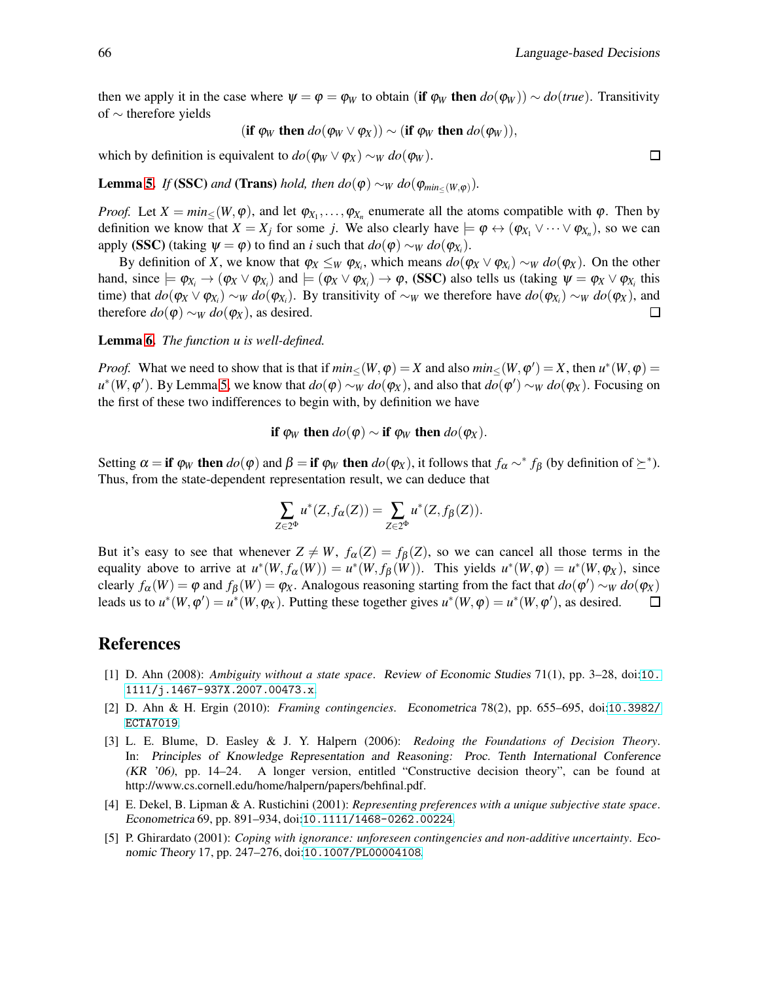then we apply it in the case where  $\psi = \varphi = \varphi_w$  to obtain (if  $\varphi_w$  then  $d\varphi(\varphi_w)$ ) ∼  $d\varphi(t\tau u_e)$ . Transitivity of ∼ therefore yields

$$
(\text{if } \varphi_W \text{ then } do(\varphi_W \vee \varphi_X)) \sim (\text{if } \varphi_W \text{ then } do(\varphi_W)),
$$

which by definition is equivalent to  $do(\varphi_W \vee \varphi_X) \sim_W do(\varphi_W)$ .

**Lemma [5.](#page-7-4)** *If* (SSC) *and* (Trans) *hold, then*  $do(\varphi) \sim_W do(\varphi_{min_{\leq}(W,\varphi)})$ .

*Proof.* Let  $X = min_{\leq}(W, \varphi)$ , and let  $\varphi_{X_1}, \ldots, \varphi_{X_n}$  enumerate all the atoms compatible with  $\varphi$ . Then by definition we know that  $X = X_j$  for some *j*. We also clearly have  $\models \varphi \leftrightarrow (\varphi_{X_1} \vee \cdots \vee \varphi_{X_n})$ , so we can apply (SSC) (taking  $\psi = \varphi$ ) to find an *i* such that  $do(\varphi) \sim_W do(\varphi_{X_i})$ .

By definition of *X*, we know that  $\varphi_X \leq_W \varphi_{X_i}$ , which means  $do(\varphi_X \vee \varphi_{X_i}) \sim_W do(\varphi_X)$ . On the other hand, since  $\models \varphi_{X_i} \rightarrow (\varphi_X \vee \varphi_{X_i})$  and  $\models (\varphi_X \vee \varphi_{X_i}) \rightarrow \varphi$ , (SSC) also tells us (taking  $\psi = \varphi_X \vee \varphi_{X_i}$  this time) that  $do(\varphi_X \vee \varphi_{X_i}) \sim_W do(\varphi_{X_i})$ . By transitivity of  $\sim_W$  we therefore have  $do(\varphi_{X_i}) \sim_W do(\varphi_X)$ , and therefore  $do(\varphi) \sim_W do(\varphi_X)$ , as desired.  $\Box$ 

Lemma [6.](#page-8-0) *The function u is well-defined.*

*Proof.* What we need to show that is that if  $min_{\leq}(W, \varphi) = X$  and also  $min_{\leq}(W, \varphi') = X$ , then  $u^*(W, \varphi) = X$  $u^*(W, φ')$ . By Lemma [5,](#page-7-4) we know that  $do(φ) \sim_W do(φ_x)$ , and also that  $do(φ') \sim_W do(φ_x)$ . Focusing on the first of these two indifferences to begin with, by definition we have

if 
$$
\varphi_W
$$
 then  $do(\varphi) \sim$  if  $\varphi_W$  then  $do(\varphi_X)$ .

Setting  $\alpha = \textbf{if } \varphi_W \textbf{ then } do(\varphi) \text{ and } \beta = \textbf{if } \varphi_W \textbf{ then } do(\varphi_X)$ , it follows that  $f_\alpha \sim^* f_\beta$  (by definition of  $\succeq^*$ ). Thus, from the state-dependent representation result, we can deduce that

$$
\sum_{Z\in2^{\Phi}}u^*(Z, f_{\alpha}(Z))=\sum_{Z\in2^{\Phi}}u^*(Z, f_{\beta}(Z)).
$$

But it's easy to see that whenever  $Z \neq W$ ,  $f_{\alpha}(Z) = f_{\beta}(Z)$ , so we can cancel all those terms in the equality above to arrive at  $u^*(W, f_\alpha(W)) = u^*(W, f_\beta(W))$ . This yields  $u^*(W, \varphi) = u^*(W, \varphi_X)$ , since clearly  $f_\alpha(W) = \varphi$  and  $f_\beta(W) = \varphi_X$ . Analogous reasoning starting from the fact that  $d\sigma(\varphi') \sim_W d\sigma(\varphi_X)$ leads us to  $u^*(W, \varphi') = u^*(W, \varphi_X)$ . Putting these together gives  $u^*(W, \varphi) = u^*(W, \varphi')$ , as desired.  $\Box$ 

#### <span id="page-11-1"></span>References

- [1] D. Ahn (2008): *Ambiguity without a state space*. Review of Economic Studies 71(1), pp. 3–28, doi:[10.](http://dx.doi.org/10.1111/j.1467-937X.2007.00473.x) [1111/j.1467-937X.2007.00473.x](http://dx.doi.org/10.1111/j.1467-937X.2007.00473.x).
- <span id="page-11-2"></span>[2] D. Ahn & H. Ergin (2010): *Framing contingencies*. Econometrica 78(2), pp. 655–695, doi:[10.3982/](http://dx.doi.org/10.3982/ECTA7019) [ECTA7019](http://dx.doi.org/10.3982/ECTA7019).
- <span id="page-11-0"></span>[3] L. E. Blume, D. Easley & J. Y. Halpern (2006): *Redoing the Foundations of Decision Theory*. In: Principles of Knowledge Representation and Reasoning: Proc. Tenth International Conference (KR '06), pp. 14–24. A longer version, entitled "Constructive decision theory", can be found at http://www.cs.cornell.edu/home/halpern/papers/behfinal.pdf.
- <span id="page-11-3"></span>[4] E. Dekel, B. Lipman & A. Rustichini (2001): *Representing preferences with a unique subjective state space*. Econometrica 69, pp. 891–934, doi:[10.1111/1468-0262.00224](http://dx.doi.org/10.1111/1468-0262.00224).
- <span id="page-11-4"></span>[5] P. Ghirardato (2001): *Coping with ignorance: unforeseen contingencies and non-additive uncertainty*. Economic Theory 17, pp. 247–276, doi:[10.1007/PL00004108](http://dx.doi.org/10.1007/PL00004108).

 $\Box$